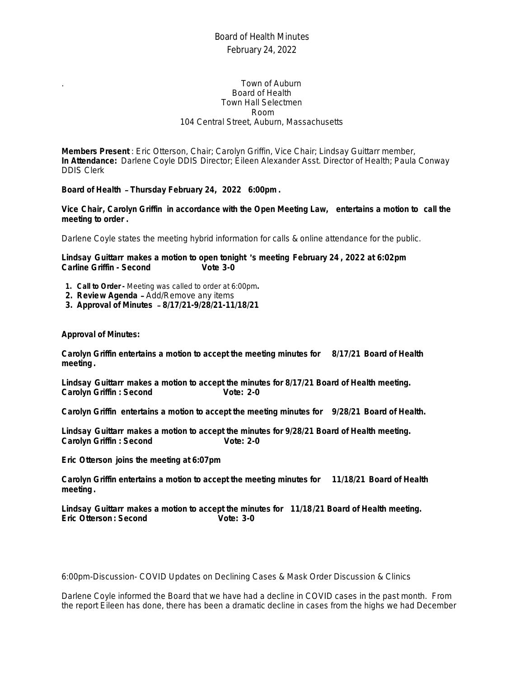# Board of Health Minutes February 24, 2022

#### . Town of Auburn Board of Health Town Hall Selectmen Room 104 Central Street, Auburn, Massachusetts

**Members Present** : Eric Otterson, Chair; Carolyn Griffin, Vice Chair; Lindsay Guittarr member, **In Attendance:** Darlene Coyle DDIS Director; Eileen Alexander Asst. Director of Health; Paula Conway DDIS Clerk

**Board of Health** – **Thursday February 24, 2022 6:00pm.**

**Vice Chair, Carolyn Griffin in accordance with the Open Meeting Law, entertains a motion to call the meeting to order .**

Darlene Coyle states the meeting hybrid information for calls & online attendance for the public.

**Lindsay Guittarr makes a motion to open tonight** '**s meeting February 24 , 2022 at 6:02pm Carline Griffin - Second** 

- **1. Call to Order** Meeting was called to order at 6:00pm**.**
- **2. Review Agenda**  Add/Remove any items
- **3. Approval of Minutes 8/17/21-9/28/21-11/18/21**

**Approval of Minutes:**

**Carolyn Griffin entertains a motion to accept the meeting minutes for 8/17/21 Board of Health meeting.**

**Lindsay Guittarr makes a motion to accept the minutes for 8/17/21 Board of Health meeting. Carolyn Griffin** : Second Vote: 2-0

**Carolyn Griffin entertains a motion to accept the meeting minutes for 9/28/21 Board of Health.**

**Lindsay Guittarr makes a motion to accept the minutes for 9/28/21 Board of Health meeting. Carolyn Griffin** : Second Vote: 2-0

**Eric Otterson joins the meeting at 6:07pm**

**Carolyn Griffin entertains a motion to accept the meeting minutes for 11/18/21 Board of Health meeting.**

**Lindsay Guittarr makes a motion to accept the minutes for 11/18/21 Board of Health meeting. Eric Otterson: Second** 

6:00pm-Discussion- COVID Updates on Declining Cases & Mask Order Discussion & Clinics

Darlene Coyle informed the Board that we have had a decline in COVID cases in the past month. From the report Eileen has done, there has been a dramatic decline in cases from the highs we had December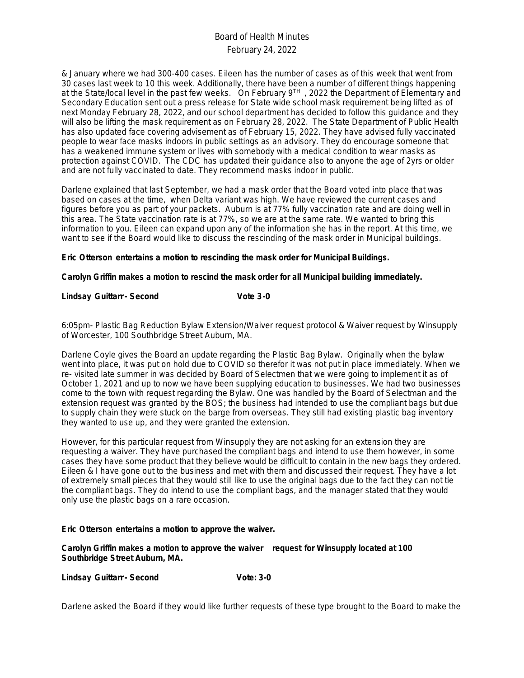# Board of Health Minutes February 24, 2022

& January where we had 300-400 cases. Eileen has the number of cases as of this week that went from 30 cases last week to 10 this week. Additionally, there have been a number of different things happening at the State/local level in the past few weeks. On February 9<sup>TH</sup>, 2022 the Department of Elementary and Secondary Education sent out a press release for State wide school mask requirement being lifted as of next Monday February 28, 2022, and our school department has decided to follow this guidance and they will also be lifting the mask requirement as on February 28, 2022. The State Department of Public Health has also updated face covering advisement as of February 15, 2022. They have advised fully vaccinated people to wear face masks indoors in public settings as an advisory. They do encourage someone that has a weakened immune system or lives with somebody with a medical condition to wear masks as protection against COVID. The CDC has updated their guidance also to anyone the age of 2yrs or older and are not fully vaccinated to date. They recommend masks indoor in public.

Darlene explained that last September, we had a mask order that the Board voted into place that was based on cases at the time, when Delta variant was high. We have reviewed the current cases and figures before you as part of your packets. Auburn is at 77% fully vaccination rate and are doing well in this area. The State vaccination rate is at 77%, so we are at the same rate. We wanted to bring this information to you. Eileen can expand upon any of the information she has in the report. At this time, we want to see if the Board would like to discuss the rescinding of the mask order in Municipal buildings.

**Eric Otterson entertains a motion to rescinding the mask order for Municipal Buildings.**

**Carolyn Griffin makes a motion to rescind the mask order for all Municipal building immediately.**

#### Lindsay Guittarr - Second Vote 3-0

6:05pm- Plastic Bag Reduction Bylaw Extension/Waiver request protocol & Waiver request by Winsupply of Worcester, 100 Southbridge Street Auburn, MA.

Darlene Coyle gives the Board an update regarding the Plastic Bag Bylaw. Originally when the bylaw went into place, it was put on hold due to COVID so therefor it was not put in place immediately. When we re- visited late summer in was decided by Board of Selectmen that we were going to implement it as of October 1, 2021 and up to now we have been supplying education to businesses. We had two businesses come to the town with request regarding the Bylaw. One was handled by the Board of Selectman and the extension request was granted by the BOS; the business had intended to use the compliant bags but due to supply chain they were stuck on the barge from overseas. They still had existing plastic bag inventory they wanted to use up, and they were granted the extension.

However, for this particular request from Winsupply they are not asking for an extension they are requesting a waiver. They have purchased the compliant bags and intend to use them however, in some cases they have some product that they believe would be difficult to contain in the new bags they ordered. Eileen & I have gone out to the business and met with them and discussed their request. They have a lot of extremely small pieces that they would still like to use the original bags due to the fact they can not tie the compliant bags. They do intend to use the compliant bags, and the manager stated that they would only use the plastic bags on a rare occasion.

#### **Eric Otterson entertains a motion to approve the waiver.**

**Carolyn Griffin makes a motion to approve the waiver request for Winsupply located at 100 Southbridge Street Auburn, MA.**

Lindsay Guittarr - Second Vote: 3-0

Darlene asked the Board if they would like further requests of these type brought to the Board to make the